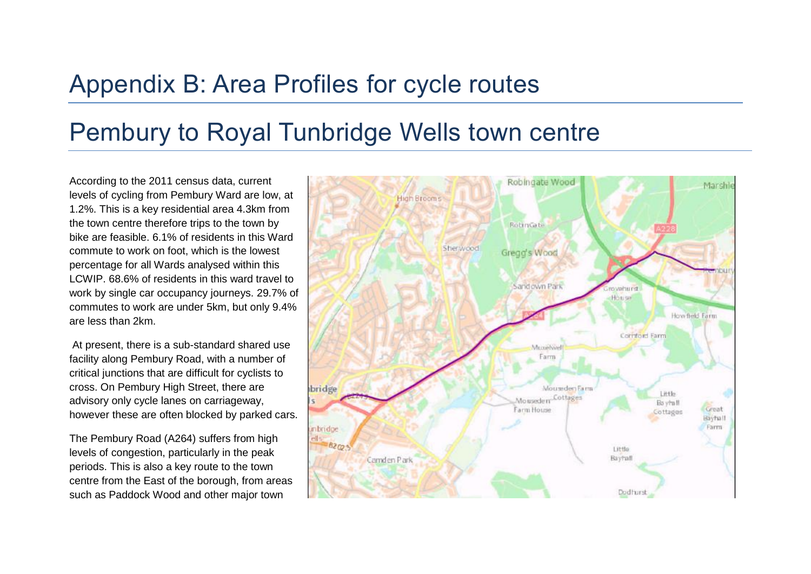## Appendix B: Area Profiles for cycle routes

## Pembury to Royal Tunbridge Wells town centre

According to the 2011 census data, current levels of cycling from Pembury Ward are low, at 1.2%. This is a key residential area 4.3km from the town centre therefore trips to the town by bike are feasible. 6.1% of residents in this Ward commute to work on foot, which is the lowest percentage for all Wards analysed within this LCWIP. 68.6% of residents in this ward travel to work by single car occupancy journeys. 29.7% of commutes to work are under 5km, but only 9.4% are less than 2km.

At present, there is a sub-standard shared use facility along Pembury Road, with a number of critical junctions that are difficult for cyclists to cross. On Pembury High Street, there are advisory only cycle lanes on carriageway, however these are often blocked by parked cars.

The Pembury Road (A264) suffers from high levels of congestion, particularly in the peak periods. This is also a key route to the town centre from the East of the borough, from areas such as Paddock Wood and other major town

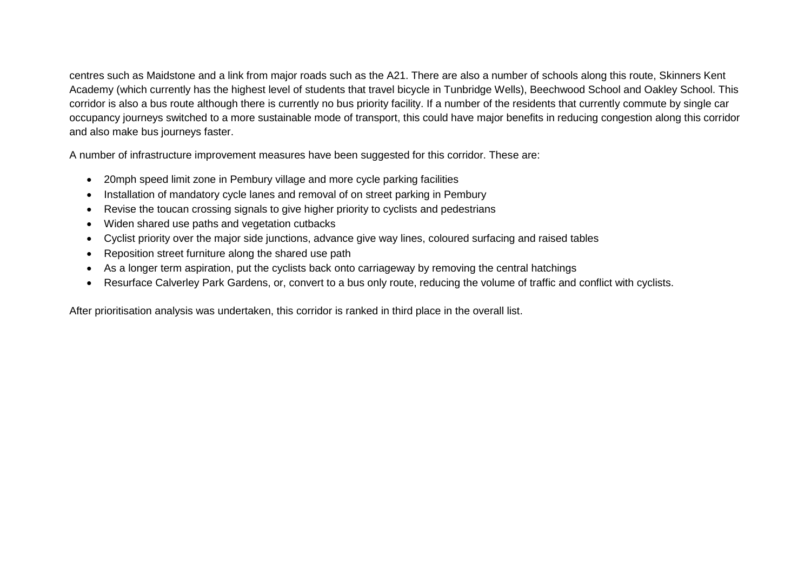centres such as Maidstone and a link from major roads such as the A21. There are also a number of schools along this route, Skinners Kent Academy (which currently has the highest level of students that travel bicycle in Tunbridge Wells), Beechwood School and Oakley School. This corridor is also a bus route although there is currently no bus priority facility. If a number of the residents that currently commute by single car occupancy journeys switched to a more sustainable mode of transport, this could have major benefits in reducing congestion along this corridor and also make bus journeys faster.

A number of infrastructure improvement measures have been suggested for this corridor. These are:

- 20mph speed limit zone in Pembury village and more cycle parking facilities
- Installation of mandatory cycle lanes and removal of on street parking in Pembury
- Revise the toucan crossing signals to give higher priority to cyclists and pedestrians
- Widen shared use paths and vegetation cutbacks
- Cyclist priority over the major side junctions, advance give way lines, coloured surfacing and raised tables
- Reposition street furniture along the shared use path
- As a longer term aspiration, put the cyclists back onto carriageway by removing the central hatchings
- Resurface Calverley Park Gardens, or, convert to a bus only route, reducing the volume of traffic and conflict with cyclists.

After prioritisation analysis was undertaken, this corridor is ranked in third place in the overall list.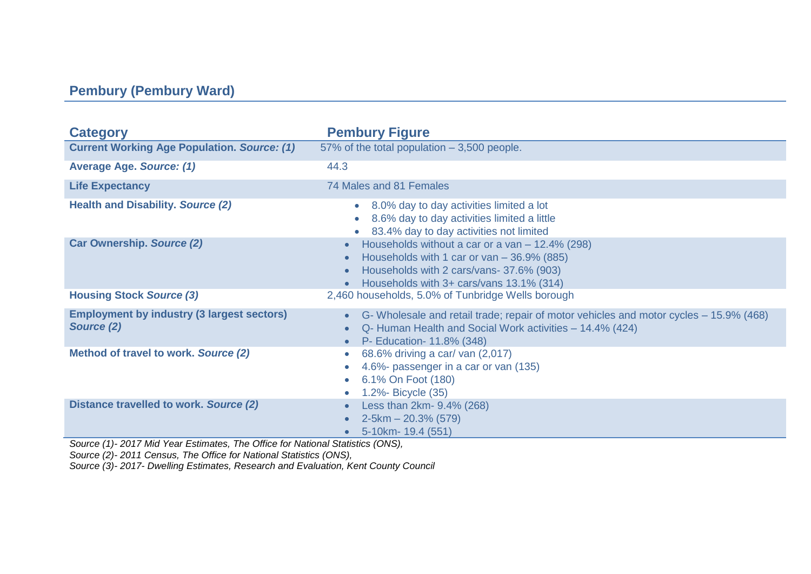## **Pembury (Pembury Ward)**

| <b>Category</b>                                                 | <b>Pembury Figure</b>                                                                                                                                                                                     |
|-----------------------------------------------------------------|-----------------------------------------------------------------------------------------------------------------------------------------------------------------------------------------------------------|
| <b>Current Working Age Population. Source: (1)</b>              | 57% of the total population - 3,500 people.                                                                                                                                                               |
| <b>Average Age. Source: (1)</b>                                 | 44.3                                                                                                                                                                                                      |
| <b>Life Expectancy</b>                                          | 74 Males and 81 Females                                                                                                                                                                                   |
| <b>Health and Disability. Source (2)</b>                        | 8.0% day to day activities limited a lot<br>$\bullet$<br>8.6% day to day activities limited a little<br>83.4% day to day activities not limited                                                           |
| <b>Car Ownership. Source (2)</b>                                | Households without a car or a van $-$ 12.4% (298)<br>Households with 1 car or van $-36.9\%$ (885)<br>Households with 2 cars/vans- 37.6% (903)<br>Households with 3+ cars/vans 13.1% (314)                 |
| <b>Housing Stock Source (3)</b>                                 | 2,460 households, 5.0% of Tunbridge Wells borough                                                                                                                                                         |
| <b>Employment by industry (3 largest sectors)</b><br>Source (2) | G- Wholesale and retail trade; repair of motor vehicles and motor cycles – 15.9% (468)<br>$\bullet$<br>Q- Human Health and Social Work activities - 14.4% (424)<br>$\bullet$<br>P- Education- 11.8% (348) |
| Method of travel to work. Source (2)                            | 68.6% driving a car/ van (2,017)<br>$\bullet$<br>4.6%- passenger in a car or van (135)<br>6.1% On Foot (180)<br>1.2% Bicycle (35)                                                                         |
| Distance travelled to work. Source (2)                          | Less than 2km- 9.4% (268)<br>$2-5km - 20.3\%$ (579)<br>5-10km- 19.4 (551)                                                                                                                                 |

*Source (1)- 2017 Mid Year Estimates, The Office for National Statistics (ONS),* 

*Source (2)- 2011 Census, The Office for National Statistics (ONS),*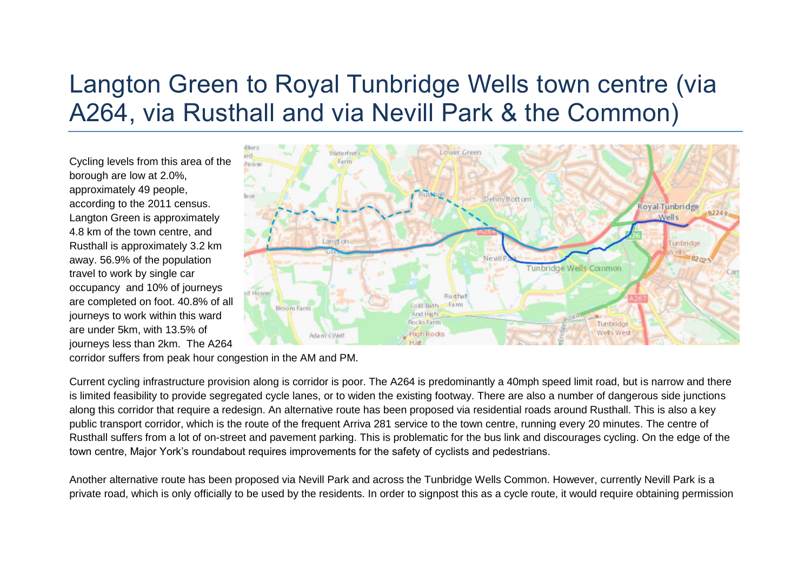# Langton Green to Royal Tunbridge Wells town centre (via A264, via Rusthall and via Nevill Park & the Common)

Cycling levels from this area of the borough are low at 2.0%, approximately 49 people, according to the 2011 census. Langton Green is approximately 4.8 km of the town centre, and Rusthall is approximately 3.2 km away. 56.9% of the population travel to work by single car occupancy and 10% of journeys are completed on foot. 40.8% of all journeys to work within this ward are under 5km, with 13.5% of journeys less than 2km. The A264



corridor suffers from peak hour congestion in the AM and PM.

Current cycling infrastructure provision along is corridor is poor. The A264 is predominantly a 40mph speed limit road, but is narrow and there is limited feasibility to provide segregated cycle lanes, or to widen the existing footway. There are also a number of dangerous side junctions along this corridor that require a redesign. An alternative route has been proposed via residential roads around Rusthall. This is also a key public transport corridor, which is the route of the frequent Arriva 281 service to the town centre, running every 20 minutes. The centre of Rusthall suffers from a lot of on-street and pavement parking. This is problematic for the bus link and discourages cycling. On the edge of the town centre, Major York's roundabout requires improvements for the safety of cyclists and pedestrians.

Another alternative route has been proposed via Nevill Park and across the Tunbridge Wells Common. However, currently Nevill Park is a private road, which is only officially to be used by the residents. In order to signpost this as a cycle route, it would require obtaining permission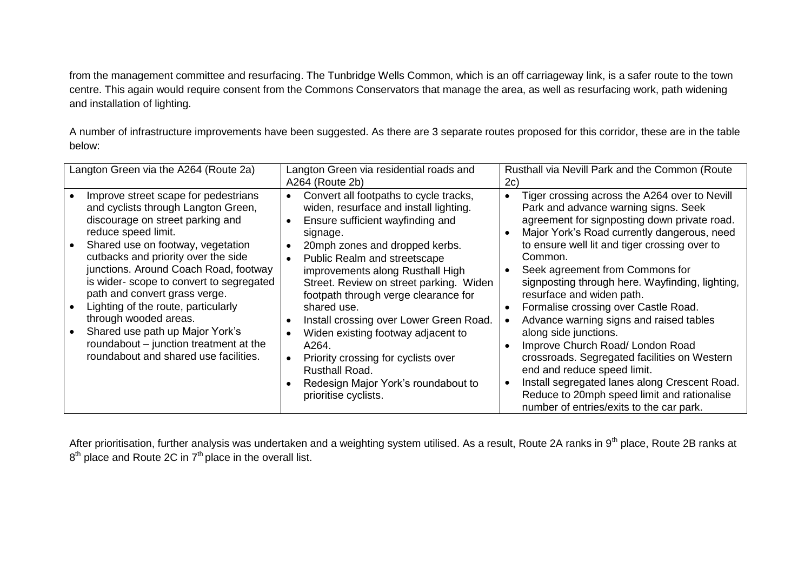from the management committee and resurfacing. The Tunbridge Wells Common, which is an off carriageway link, is a safer route to the town centre. This again would require consent from the Commons Conservators that manage the area, as well as resurfacing work, path widening and installation of lighting.

A number of infrastructure improvements have been suggested. As there are 3 separate routes proposed for this corridor, these are in the table below:

| Langton Green via the A264 (Route 2a)                                                                                                                                                                                                                                                                                                                                                                                                                                                                                         | Langton Green via residential roads and<br>A264 (Route 2b)                                                                                                                                                                                                                                                                                                                                                                                                                                                                                                 | Rusthall via Nevill Park and the Common (Route<br>2c)                                                                                                                                                                                                                                                                                                                                                                                                                                                                                                                                                                                                                                                                                                                                                                                     |
|-------------------------------------------------------------------------------------------------------------------------------------------------------------------------------------------------------------------------------------------------------------------------------------------------------------------------------------------------------------------------------------------------------------------------------------------------------------------------------------------------------------------------------|------------------------------------------------------------------------------------------------------------------------------------------------------------------------------------------------------------------------------------------------------------------------------------------------------------------------------------------------------------------------------------------------------------------------------------------------------------------------------------------------------------------------------------------------------------|-------------------------------------------------------------------------------------------------------------------------------------------------------------------------------------------------------------------------------------------------------------------------------------------------------------------------------------------------------------------------------------------------------------------------------------------------------------------------------------------------------------------------------------------------------------------------------------------------------------------------------------------------------------------------------------------------------------------------------------------------------------------------------------------------------------------------------------------|
| Improve street scape for pedestrians<br>and cyclists through Langton Green,<br>discourage on street parking and<br>reduce speed limit.<br>Shared use on footway, vegetation<br>cutbacks and priority over the side<br>junctions. Around Coach Road, footway<br>is wider-scope to convert to segregated<br>path and convert grass verge.<br>Lighting of the route, particularly<br>through wooded areas.<br>Shared use path up Major York's<br>roundabout - junction treatment at the<br>roundabout and shared use facilities. | Convert all footpaths to cycle tracks,<br>widen, resurface and install lighting.<br>Ensure sufficient wayfinding and<br>signage.<br>20mph zones and dropped kerbs.<br>Public Realm and streetscape<br>improvements along Rusthall High<br>Street. Review on street parking. Widen<br>footpath through verge clearance for<br>shared use.<br>Install crossing over Lower Green Road.<br>Widen existing footway adjacent to<br>A264.<br>Priority crossing for cyclists over<br>Rusthall Road.<br>Redesign Major York's roundabout to<br>prioritise cyclists. | Tiger crossing across the A264 over to Nevill<br>$\bullet$<br>Park and advance warning signs. Seek<br>agreement for signposting down private road.<br>Major York's Road currently dangerous, need<br>$\bullet$<br>to ensure well lit and tiger crossing over to<br>Common.<br>Seek agreement from Commons for<br>$\bullet$<br>signposting through here. Wayfinding, lighting,<br>resurface and widen path.<br>Formalise crossing over Castle Road.<br>$\bullet$<br>Advance warning signs and raised tables<br>$\bullet$<br>along side junctions.<br>Improve Church Road/ London Road<br>$\bullet$<br>crossroads. Segregated facilities on Western<br>end and reduce speed limit.<br>Install segregated lanes along Crescent Road.<br>$\bullet$<br>Reduce to 20mph speed limit and rationalise<br>number of entries/exits to the car park. |

After prioritisation, further analysis was undertaken and a weighting system utilised. As a result, Route 2A ranks in 9<sup>th</sup> place, Route 2B ranks at  $8<sup>th</sup>$  place and Route 2C in 7<sup>th</sup> place in the overall list.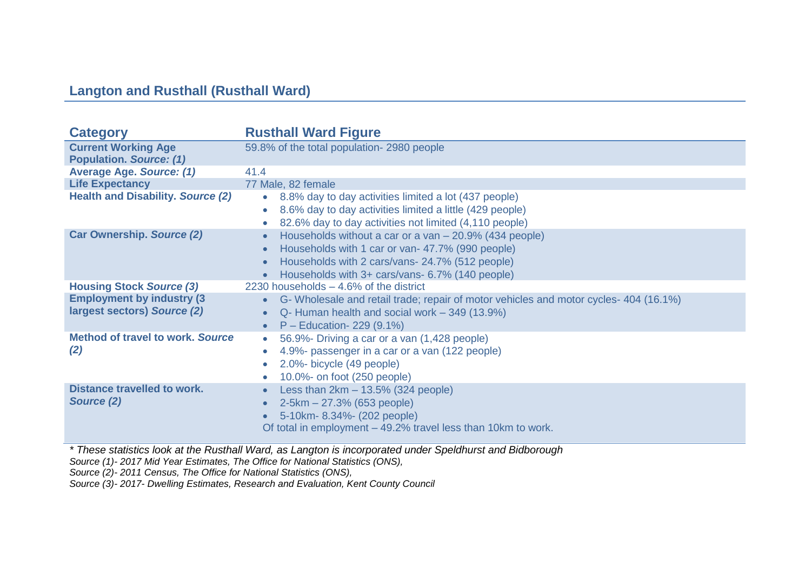## **Langton and Rusthall (Rusthall Ward)**

| <b>Category</b>                                                  | <b>Rusthall Ward Figure</b>                                                                                                                                                                                      |
|------------------------------------------------------------------|------------------------------------------------------------------------------------------------------------------------------------------------------------------------------------------------------------------|
| <b>Current Working Age</b><br><b>Population. Source: (1)</b>     | 59.8% of the total population-2980 people                                                                                                                                                                        |
| <b>Average Age. Source: (1)</b>                                  | 41.4                                                                                                                                                                                                             |
| <b>Life Expectancy</b>                                           | 77 Male, 82 female                                                                                                                                                                                               |
| <b>Health and Disability. Source (2)</b>                         | • 8.8% day to day activities limited a lot (437 people)<br>8.6% day to day activities limited a little (429 people)<br>82.6% day to day activities not limited (4,110 people)                                    |
| <b>Car Ownership. Source (2)</b>                                 | Households without a car or a van - 20.9% (434 people)<br>Households with 1 car or van- 47.7% (990 people)<br>Households with 2 cars/vans- 24.7% (512 people)<br>Households with 3+ cars/vans- 6.7% (140 people) |
| <b>Housing Stock Source (3)</b>                                  | 2230 households $-4.6\%$ of the district                                                                                                                                                                         |
| <b>Employment by industry (3)</b><br>largest sectors) Source (2) | G- Wholesale and retail trade; repair of motor vehicles and motor cycles-404 (16.1%)<br>Q- Human health and social work – 349 (13.9%)<br>$P -$ Education- 229 (9.1%)                                             |
| <b>Method of travel to work, Source</b><br>(2)                   | 56.9% Driving a car or a van (1,428 people)<br>4.9%- passenger in a car or a van (122 people)<br>2.0%- bicycle (49 people)<br>10.0%- on foot (250 people)                                                        |
| <b>Distance travelled to work.</b><br>Source (2)                 | Less than $2km - 13.5\%$ (324 people)<br>$2-5km - 27.3%$ (653 people)<br>5-10km-8.34%- (202 people)<br>Of total in employment – 49.2% travel less than 10km to work.                                             |

*\* These statistics look at the Rusthall Ward, as Langton is incorporated under Speldhurst and Bidborough Source (1)- 2017 Mid Year Estimates, The Office for National Statistics (ONS),* 

*Source (2)- 2011 Census, The Office for National Statistics (ONS),*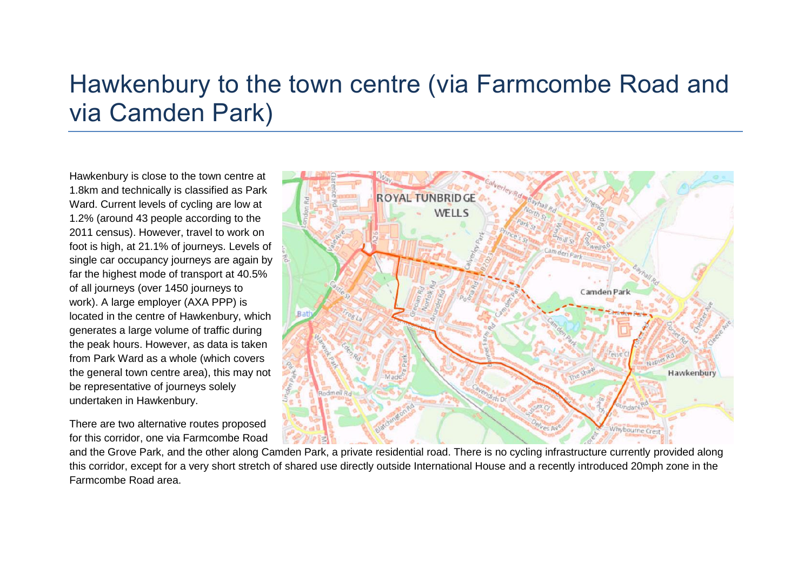# Hawkenbury to the town centre (via Farmcombe Road and via Camden Park)

Hawkenbury is close to the town centre at 1.8km and technically is classified as Park Ward. Current levels of cycling are low at 1.2% (around 43 people according to the 2011 census). However, travel to work on foot is high, at 21.1% of journeys. Levels of single car occupancy journeys are again by far the highest mode of transport at 40.5% of all journeys (over 1450 journeys to work). A large employer (AXA PPP) is located in the centre of Hawkenbury, which generates a large volume of traffic during the peak hours. However, as data is taken from Park Ward as a whole (which covers the general town centre area), this may not be representative of journeys solely undertaken in Hawkenbury.

There are two alternative routes proposed for this corridor, one via Farmcombe Road

and the Grove Park, and the other along Camden Park, a private residential road. There is no cycling infrastructure currently provided along this corridor, except for a very short stretch of shared use directly outside International House and a recently introduced 20mph zone in the Farmcombe Road area.

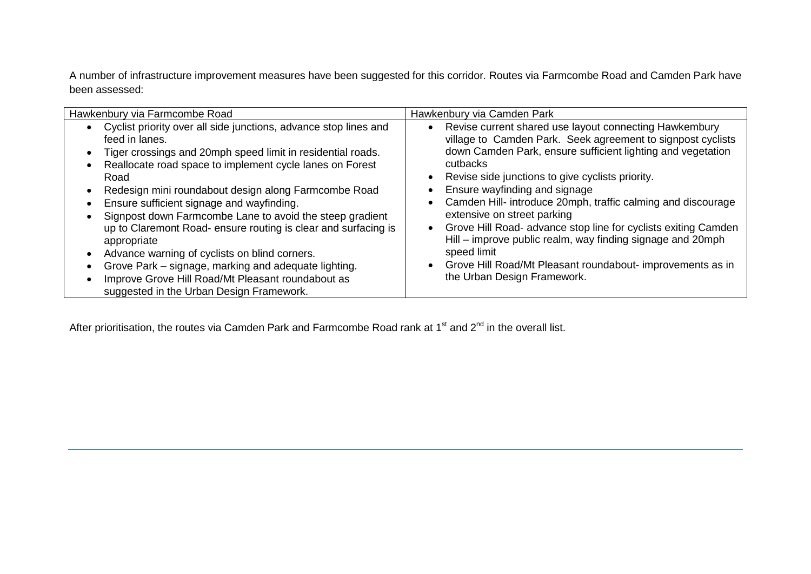A number of infrastructure improvement measures have been suggested for this corridor. Routes via Farmcombe Road and Camden Park have been assessed:

| Hawkenbury via Farmcombe Road                                    | Hawkenbury via Camden Park                                     |
|------------------------------------------------------------------|----------------------------------------------------------------|
| Cyclist priority over all side junctions, advance stop lines and | Revise current shared use layout connecting Hawkembury         |
| feed in lanes.                                                   | $\bullet$                                                      |
| Tiger crossings and 20mph speed limit in residential roads.      | village to Camden Park. Seek agreement to signpost cyclists    |
| Reallocate road space to implement cycle lanes on Forest         | down Camden Park, ensure sufficient lighting and vegetation    |
| Road                                                             | cutbacks                                                       |
| Redesign mini roundabout design along Farmcombe Road             | Revise side junctions to give cyclists priority.               |
| Ensure sufficient signage and wayfinding.                        | Ensure wayfinding and signage                                  |
| Signpost down Farmcombe Lane to avoid the steep gradient         | Camden Hill- introduce 20mph, traffic calming and discourage   |
| up to Claremont Road- ensure routing is clear and surfacing is   | extensive on street parking                                    |
| appropriate                                                      | Grove Hill Road- advance stop line for cyclists exiting Camden |
| Advance warning of cyclists on blind corners.                    | Hill – improve public realm, way finding signage and 20mph     |
| Grove Park – signage, marking and adequate lighting.             | speed limit                                                    |
| Improve Grove Hill Road/Mt Pleasant roundabout as                | Grove Hill Road/Mt Pleasant roundabout- improvements as in     |
| suggested in the Urban Design Framework.                         | the Urban Design Framework.                                    |

After prioritisation, the routes via Camden Park and Farmcombe Road rank at 1<sup>st</sup> and 2<sup>nd</sup> in the overall list.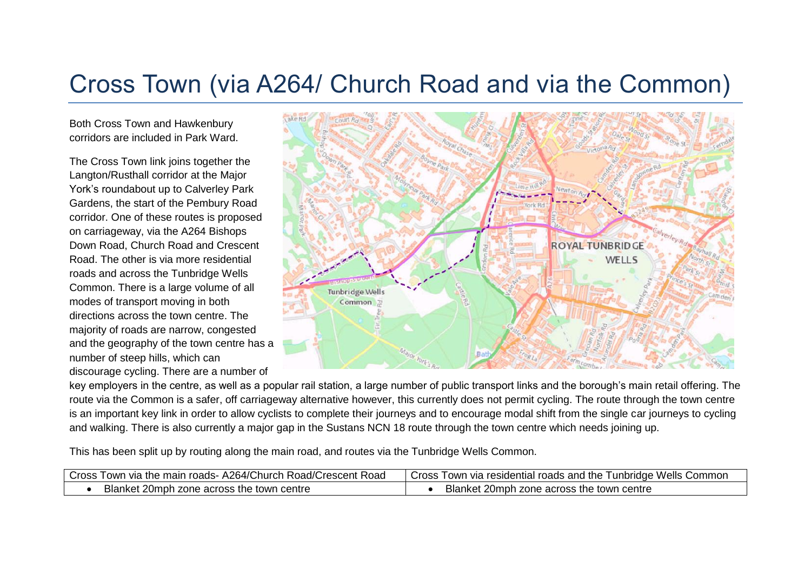# Cross Town (via A264/ Church Road and via the Common)

Both Cross Town and Hawkenbury corridors are included in Park Ward.

The Cross Town link joins together the Langton/Rusthall corridor at the Major York's roundabout up to Calverley Park Gardens, the start of the Pembury Road corridor. One of these routes is proposed on carriageway, via the A264 Bishops Down Road, Church Road and Crescent Road. The other is via more residential roads and across the Tunbridge Wells Common. There is a large volume of all modes of transport moving in both directions across the town centre. The majority of roads are narrow, congested and the geography of the town centre has a number of steep hills, which can discourage cycling. There are a number of



key employers in the centre, as well as a popular rail station, a large number of public transport links and the borough's main retail offering. The route via the Common is a safer, off carriageway alternative however, this currently does not permit cycling. The route through the town centre is an important key link in order to allow cyclists to complete their journeys and to encourage modal shift from the single car journeys to cycling and walking. There is also currently a major gap in the Sustans NCN 18 route through the town centre which needs joining up.

This has been split up by routing along the main road, and routes via the Tunbridge Wells Common.

| Road/Crescent Road<br>A264/Church<br>⊥the<br>Cross<br>roads-<br>I own via<br>e main | unbridge Wells<br>' roads and the<br>⊦via residential ro<br>Common<br>Cross<br><b>LOWP</b> |
|-------------------------------------------------------------------------------------|--------------------------------------------------------------------------------------------|
| Blanket 20mph zone<br>centre<br>across the town                                     | <b>Blanket 20r</b><br>$20$ mph.<br>⊧ town centre<br>across the l<br>n zonel                |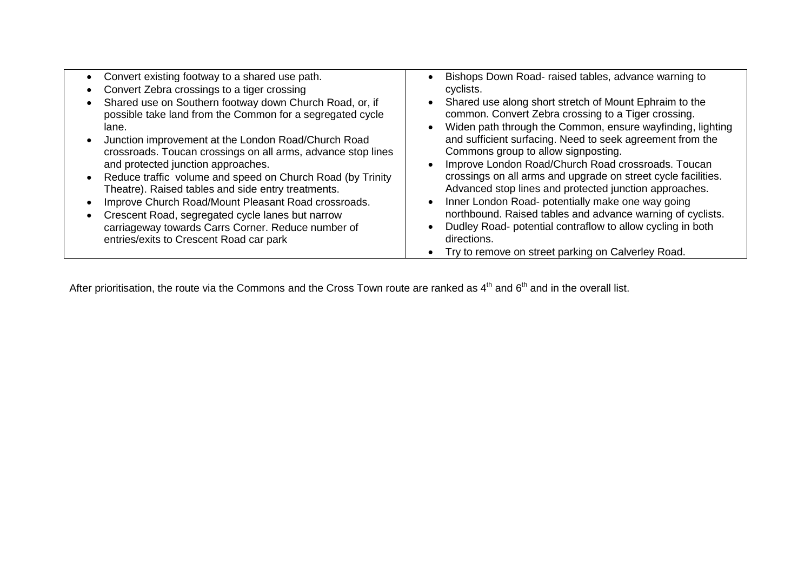| Convert existing footway to a shared use path.<br>Convert Zebra crossings to a tiger crossing<br>Shared use on Southern footway down Church Road, or, if<br>possible take land from the Common for a segregated cycle<br>lane.<br>Junction improvement at the London Road/Church Road<br>crossroads. Toucan crossings on all arms, advance stop lines<br>and protected junction approaches.<br>Reduce traffic volume and speed on Church Road (by Trinity<br>Theatre). Raised tables and side entry treatments.<br>Improve Church Road/Mount Pleasant Road crossroads.<br>Crescent Road, segregated cycle lanes but narrow<br>carriageway towards Carrs Corner. Reduce number of<br>entries/exits to Crescent Road car park | Bishops Down Road- raised tables, advance warning to<br>cyclists.<br>Shared use along short stretch of Mount Ephraim to the<br>common. Convert Zebra crossing to a Tiger crossing.<br>Widen path through the Common, ensure wayfinding, lighting<br>and sufficient surfacing. Need to seek agreement from the<br>Commons group to allow signposting.<br>Improve London Road/Church Road crossroads. Toucan<br>crossings on all arms and upgrade on street cycle facilities.<br>Advanced stop lines and protected junction approaches.<br>Inner London Road- potentially make one way going<br>northbound. Raised tables and advance warning of cyclists.<br>Dudley Road- potential contraflow to allow cycling in both<br>directions.<br>Try to remove on street parking on Calverley Road. |
|-----------------------------------------------------------------------------------------------------------------------------------------------------------------------------------------------------------------------------------------------------------------------------------------------------------------------------------------------------------------------------------------------------------------------------------------------------------------------------------------------------------------------------------------------------------------------------------------------------------------------------------------------------------------------------------------------------------------------------|---------------------------------------------------------------------------------------------------------------------------------------------------------------------------------------------------------------------------------------------------------------------------------------------------------------------------------------------------------------------------------------------------------------------------------------------------------------------------------------------------------------------------------------------------------------------------------------------------------------------------------------------------------------------------------------------------------------------------------------------------------------------------------------------|
|-----------------------------------------------------------------------------------------------------------------------------------------------------------------------------------------------------------------------------------------------------------------------------------------------------------------------------------------------------------------------------------------------------------------------------------------------------------------------------------------------------------------------------------------------------------------------------------------------------------------------------------------------------------------------------------------------------------------------------|---------------------------------------------------------------------------------------------------------------------------------------------------------------------------------------------------------------------------------------------------------------------------------------------------------------------------------------------------------------------------------------------------------------------------------------------------------------------------------------------------------------------------------------------------------------------------------------------------------------------------------------------------------------------------------------------------------------------------------------------------------------------------------------------|

After prioritisation, the route via the Commons and the Cross Town route are ranked as  $4^{\text{th}}$  and  $6^{\text{th}}$  and in the overall list.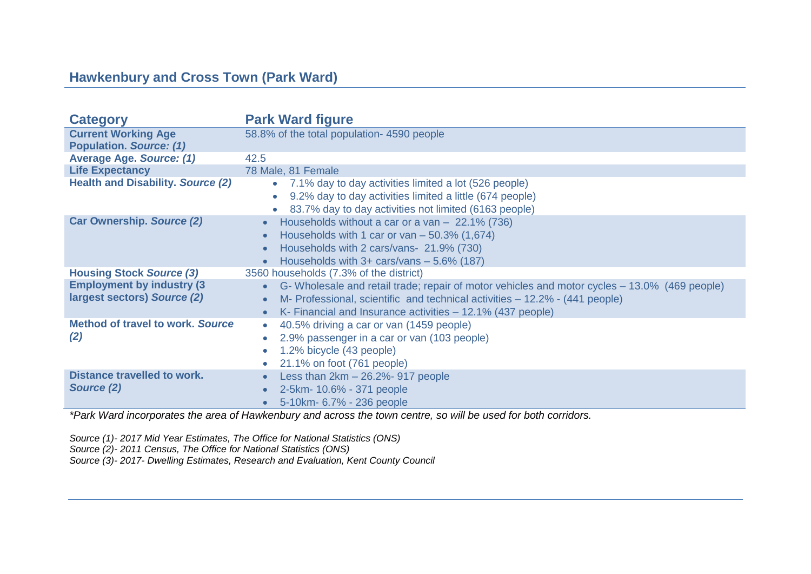## **Hawkenbury and Cross Town (Park Ward)**

| <b>Category</b>                                                  | <b>Park Ward figure</b>                                                                                                                                                                                                                    |
|------------------------------------------------------------------|--------------------------------------------------------------------------------------------------------------------------------------------------------------------------------------------------------------------------------------------|
| <b>Current Working Age</b><br><b>Population. Source: (1)</b>     | 58.8% of the total population-4590 people                                                                                                                                                                                                  |
| <b>Average Age. Source: (1)</b>                                  | 42.5                                                                                                                                                                                                                                       |
| <b>Life Expectancy</b>                                           | 78 Male, 81 Female                                                                                                                                                                                                                         |
| <b>Health and Disability. Source (2)</b>                         | 7.1% day to day activities limited a lot (526 people)<br>$\bullet$<br>9.2% day to day activities limited a little (674 people)<br>$\bullet$<br>83.7% day to day activities not limited (6163 people)                                       |
| <b>Car Ownership. Source (2)</b>                                 | Households without a car or a van $-$ 22.1% (736)<br>Households with 1 car or van $-50.3\%$ (1,674)<br>Households with 2 cars/vans- 21.9% (730)<br>Households with $3+$ cars/vans $-5.6\%$ (187)                                           |
| <b>Housing Stock Source (3)</b>                                  | 3560 households (7.3% of the district)                                                                                                                                                                                                     |
| <b>Employment by industry (3)</b><br>largest sectors) Source (2) | G- Wholesale and retail trade; repair of motor vehicles and motor cycles – 13.0% (469 people)<br>M- Professional, scientific and technical activities – 12.2% - (441 people)<br>K- Financial and Insurance activities – 12.1% (437 people) |
| <b>Method of travel to work, Source</b><br>(2)                   | 40.5% driving a car or van (1459 people)<br>$\bullet$<br>2.9% passenger in a car or van (103 people)<br>1.2% bicycle (43 people)<br>21.1% on foot (761 people)                                                                             |
| <b>Distance travelled to work.</b><br>Source (2)                 | Less than $2km - 26.2% - 917$ people<br>2-5km- 10.6% - 371 people<br>5-10km- 6.7% - 236 people                                                                                                                                             |

*\*Park Ward incorporates the area of Hawkenbury and across the town centre, so will be used for both corridors.*

*Source (1)- 2017 Mid Year Estimates, The Office for National Statistics (ONS)*

*Source (2)- 2011 Census, The Office for National Statistics (ONS)*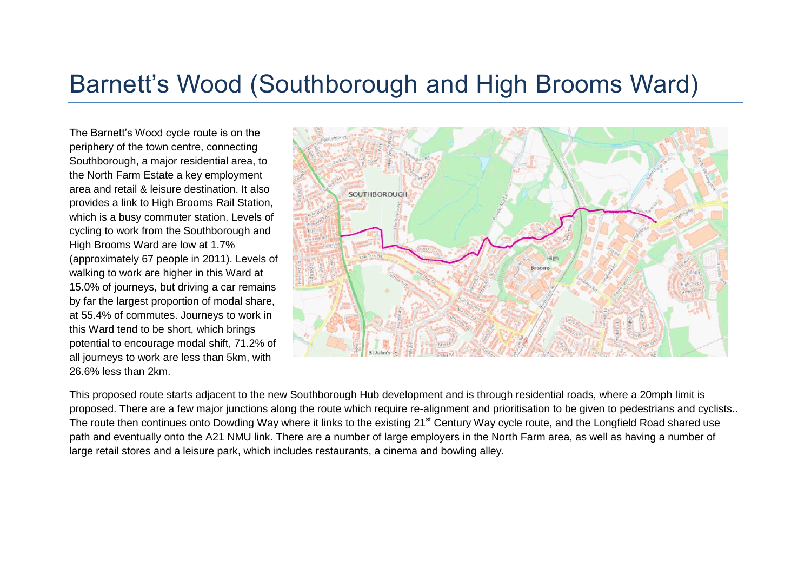## Barnett's Wood (Southborough and High Brooms Ward)

The Barnett's Wood cycle route is on the periphery of the town centre, connecting Southborough, a major residential area, to the North Farm Estate a key employment area and retail & leisure destination. It also provides a link to High Brooms Rail Station, which is a busy commuter station. Levels of cycling to work from the Southborough and High Brooms Ward are low at 1.7% (approximately 67 people in 2011). Levels of walking to work are higher in this Ward at 15.0% of journeys, but driving a car remains by far the largest proportion of modal share, at 55.4% of commutes. Journeys to work in this Ward tend to be short, which brings potential to encourage modal shift, 71.2% of all journeys to work are less than 5km, with 26.6% less than 2km.



This proposed route starts adjacent to the new Southborough Hub development and is through residential roads, where a 20mph limit is proposed. There are a few major junctions along the route which require re-alignment and prioritisation to be given to pedestrians and cyclists.. The route then continues onto Dowding Way where it links to the existing 21<sup>st</sup> Century Way cycle route, and the Longfield Road shared use path and eventually onto the A21 NMU link. There are a number of large employers in the North Farm area, as well as having a number of large retail stores and a leisure park, which includes restaurants, a cinema and bowling alley.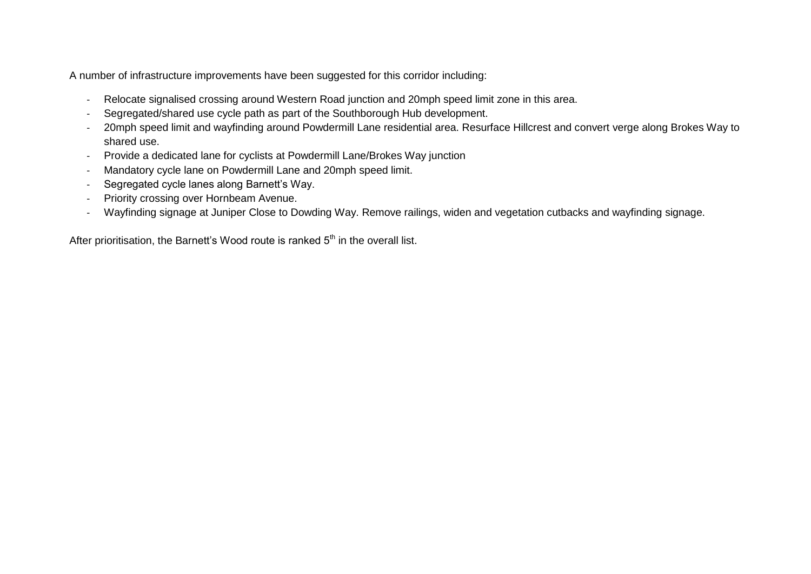A number of infrastructure improvements have been suggested for this corridor including:

- Relocate signalised crossing around Western Road junction and 20mph speed limit zone in this area.
- Segregated/shared use cycle path as part of the Southborough Hub development.
- 20mph speed limit and wayfinding around Powdermill Lane residential area. Resurface Hillcrest and convert verge along Brokes Way to shared use.
- Provide a dedicated lane for cyclists at Powdermill Lane/Brokes Way junction
- Mandatory cycle lane on Powdermill Lane and 20mph speed limit.
- Segregated cycle lanes along Barnett's Way.
- Priority crossing over Hornbeam Avenue.
- Wayfinding signage at Juniper Close to Dowding Way. Remove railings, widen and vegetation cutbacks and wayfinding signage.

After prioritisation, the Barnett's Wood route is ranked  $5<sup>th</sup>$  in the overall list.